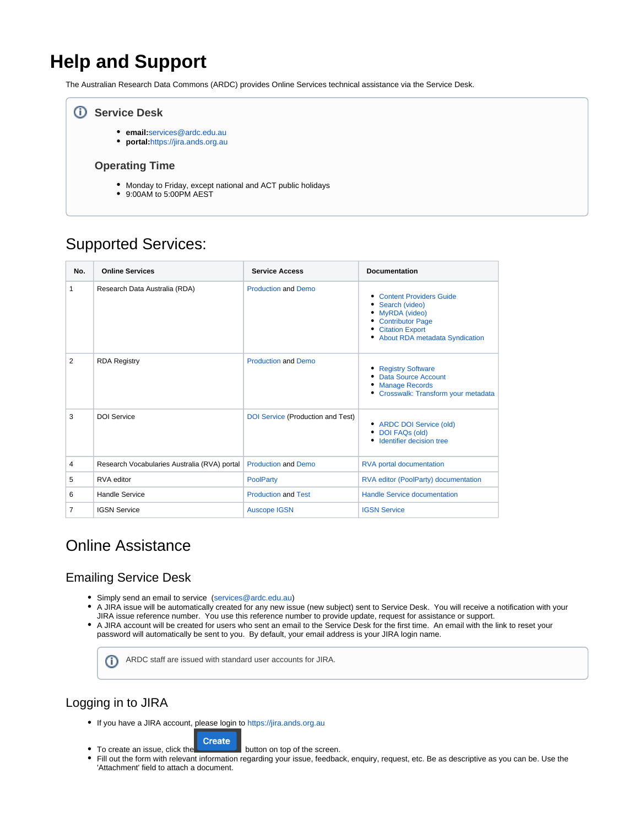# **Help and Support**

The Australian Research Data Commons (ARDC) provides Online Services technical assistance via the Service Desk.

### **Service Desk**

- **email:**[services@ardc.edu.au](mailto:services@ardc.edu.au)
- **portal:**<https://jira.ands.org.au>

### **Operating Time**

- Monday to Friday, except national and ACT public holidays
- 9:00AM to 5:00PM AEST

## Supported Services:

| No.            | <b>Online Services</b>                       | <b>Service Access</b>             | <b>Documentation</b>                                                                                                                                 |
|----------------|----------------------------------------------|-----------------------------------|------------------------------------------------------------------------------------------------------------------------------------------------------|
| 1              | Research Data Australia (RDA)                | <b>Production and Demo</b>        | <b>Content Providers Guide</b><br>• Search (video)<br>• MyRDA (video)<br>• Contributor Page<br>• Citation Export<br>• About RDA metadata Syndication |
| $\overline{2}$ | <b>RDA Registry</b>                          | <b>Production and Demo</b>        | • Registry Software<br>Data Source Account<br><b>Manage Records</b><br>• Crosswalk: Transform your metadata                                          |
| 3              | <b>DOI Service</b>                           | DOI Service (Production and Test) | • ARDC DOI Service (old)<br>• DOI FAQs (old)<br>• Identifier decision tree                                                                           |
| 4              | Research Vocabularies Australia (RVA) portal | <b>Production and Demo</b>        | <b>RVA portal documentation</b>                                                                                                                      |
| 5              | RVA editor                                   | <b>PoolParty</b>                  | RVA editor (PoolParty) documentation                                                                                                                 |
| 6              | <b>Handle Service</b>                        | <b>Production and Test</b>        | <b>Handle Service documentation</b>                                                                                                                  |
| $\overline{7}$ | <b>IGSN Service</b>                          | <b>Auscope IGSN</b>               | <b>IGSN Service</b>                                                                                                                                  |

## Online Assistance

## Emailing Service Desk

- Simply send an email to service [\(services@ardc.edu.au\)](mailto:services@ardc.edu.au)
- $\bullet$ A JIRA issue will be automatically created for any new issue (new subject) sent to Service Desk. You will receive a notification with your JIRA issue reference number. You use this reference number to provide update, request for assistance or support.
- A JIRA account will be created for users who sent an email to the Service Desk for the first time. An email with the link to reset your password will automatically be sent to you. By default, your email address is your JIRA login name.

ARDC staff are issued with standard user accounts for JIRA.(ï)

## Logging in to JIRA

If you have a JIRA account, please login to<https://jira.ands.org.au>

#### **Create**

- To create an issue, click the **button** on top of the screen.
- Fill out the form with relevant information regarding your issue, feedback, enquiry, request, etc. Be as descriptive as you can be. Use the 'Attachment' field to attach a document.